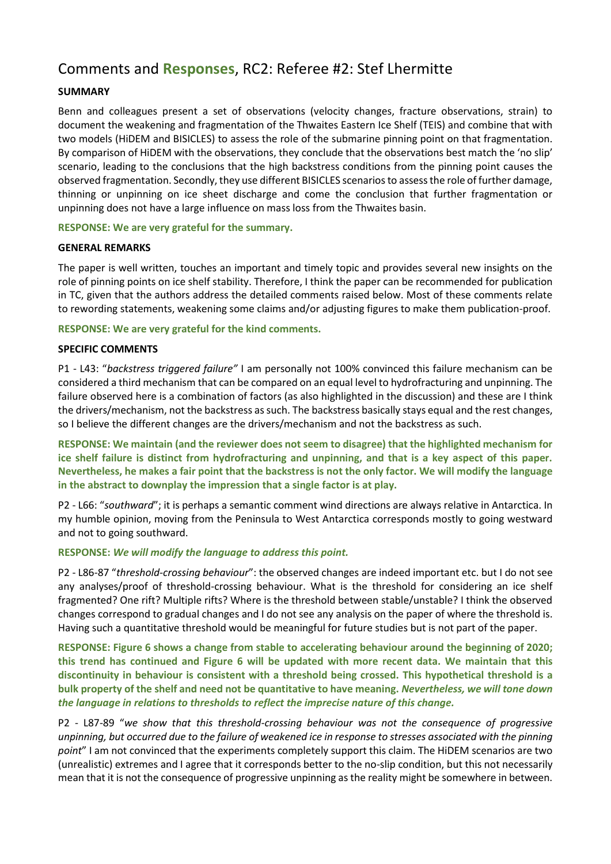# Comments and **Responses**, RC2: Referee #2: Stef Lhermitte

# **SUMMARY**

Benn and colleagues present a set of observations (velocity changes, fracture observations, strain) to document the weakening and fragmentation of the Thwaites Eastern Ice Shelf (TEIS) and combine that with two models (HiDEM and BISICLES) to assess the role of the submarine pinning point on that fragmentation. By comparison of HiDEM with the observations, they conclude that the observations best match the 'no slip' scenario, leading to the conclusions that the high backstress conditions from the pinning point causes the observed fragmentation. Secondly, they use different BISICLES scenarios to assess the role of further damage, thinning or unpinning on ice sheet discharge and come the conclusion that further fragmentation or unpinning does not have a large influence on mass loss from the Thwaites basin.

# **RESPONSE: We are very grateful for the summary.**

# **GENERAL REMARKS**

The paper is well written, touches an important and timely topic and provides several new insights on the role of pinning points on ice shelf stability. Therefore, I think the paper can be recommended for publication in TC, given that the authors address the detailed comments raised below. Most of these comments relate to rewording statements, weakening some claims and/or adjusting figures to make them publication-proof.

# **RESPONSE: We are very grateful for the kind comments.**

# **SPECIFIC COMMENTS**

P1 - L43: "*backstress triggered failure"* I am personally not 100% convinced this failure mechanism can be considered a third mechanism that can be compared on an equal level to hydrofracturing and unpinning. The failure observed here is a combination of factors (as also highlighted in the discussion) and these are I think the drivers/mechanism, not the backstress as such. The backstress basically stays equal and the rest changes, so I believe the different changes are the drivers/mechanism and not the backstress as such.

**RESPONSE: We maintain (and the reviewer does not seem to disagree) that the highlighted mechanism for ice shelf failure is distinct from hydrofracturing and unpinning, and that is a key aspect of this paper. Nevertheless, he makes a fair point that the backstress is not the only factor. We will modify the language in the abstract to downplay the impression that a single factor is at play.**

P2 - L66: "*southward*"; it is perhaps a semantic comment wind directions are always relative in Antarctica. In my humble opinion, moving from the Peninsula to West Antarctica corresponds mostly to going westward and not to going southward.

# **RESPONSE:** *We will modify the language to address this point.*

P2 - L86-87 "*threshold-crossing behaviour*": the observed changes are indeed important etc. but I do not see any analyses/proof of threshold-crossing behaviour. What is the threshold for considering an ice shelf fragmented? One rift? Multiple rifts? Where is the threshold between stable/unstable? I think the observed changes correspond to gradual changes and I do not see any analysis on the paper of where the threshold is. Having such a quantitative threshold would be meaningful for future studies but is not part of the paper.

**RESPONSE: Figure 6 shows a change from stable to accelerating behaviour around the beginning of 2020; this trend has continued and Figure 6 will be updated with more recent data. We maintain that this discontinuity in behaviour is consistent with a threshold being crossed. This hypothetical threshold is a bulk property of the shelf and need not be quantitative to have meaning.** *Nevertheless, we will tone down the language in relations to thresholds to reflect the imprecise nature of this change.*

P2 - L87-89 "*we show that this threshold-crossing behaviour was not the consequence of progressive unpinning, but occurred due to the failure of weakened ice in response to stresses associated with the pinning point*" I am not convinced that the experiments completely support this claim. The HiDEM scenarios are two (unrealistic) extremes and I agree that it corresponds better to the no-slip condition, but this not necessarily mean that it is not the consequence of progressive unpinning as the reality might be somewhere in between.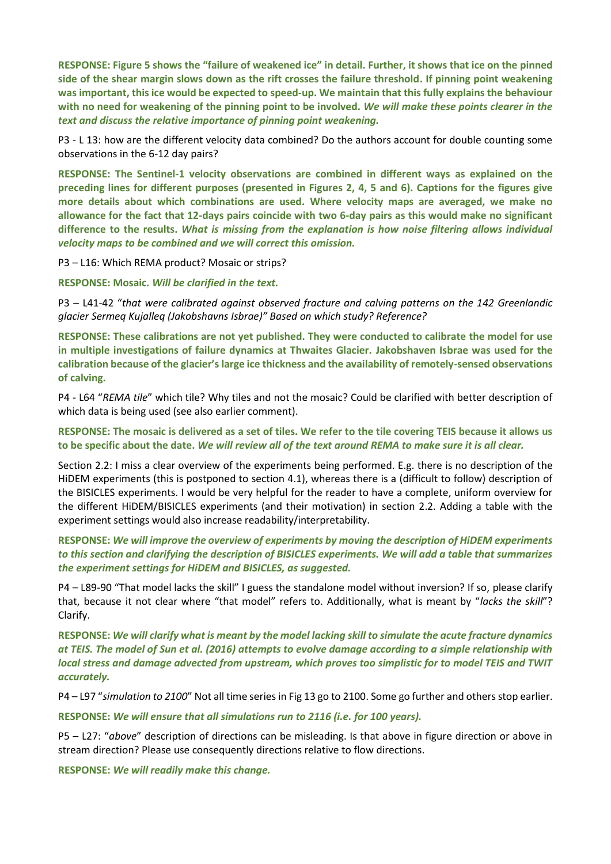**RESPONSE: Figure 5 shows the "failure of weakened ice" in detail. Further, it shows that ice on the pinned side of the shear margin slows down as the rift crosses the failure threshold. If pinning point weakening was important, this ice would be expected to speed-up. We maintain that this fully explains the behaviour with no need for weakening of the pinning point to be involved.** *We will make these points clearer in the text and discuss the relative importance of pinning point weakening.*

P3 - L 13: how are the different velocity data combined? Do the authors account for double counting some observations in the 6-12 day pairs?

**RESPONSE: The Sentinel-1 velocity observations are combined in different ways as explained on the preceding lines for different purposes (presented in Figures 2, 4, 5 and 6). Captions for the figures give more details about which combinations are used. Where velocity maps are averaged, we make no allowance for the fact that 12-days pairs coincide with two 6-day pairs as this would make no significant difference to the results.** *What is missing from the explanation is how noise filtering allows individual velocity maps to be combined and we will correct this omission.*

P3 – L16: Which REMA product? Mosaic or strips?

**RESPONSE: Mosaic.** *Will be clarified in the text.*

P3 – L41-42 "*that were calibrated against observed fracture and calving patterns on the 142 Greenlandic glacier Sermeq Kujalleq (Jakobshavns Isbrae)" Based on which study? Reference?* 

**RESPONSE: These calibrations are not yet published. They were conducted to calibrate the model for use in multiple investigations of failure dynamics at Thwaites Glacier. Jakobshaven Isbrae was used for the calibration because of the glacier's large ice thickness and the availability of remotely-sensed observations of calving.** 

P4 - L64 "*REMA tile*" which tile? Why tiles and not the mosaic? Could be clarified with better description of which data is being used (see also earlier comment).

**RESPONSE: The mosaic is delivered as a set of tiles. We refer to the tile covering TEIS because it allows us to be specific about the date.** *We will review all of the text around REMA to make sure it is all clear.*

Section 2.2: I miss a clear overview of the experiments being performed. E.g. there is no description of the HiDEM experiments (this is postponed to section 4.1), whereas there is a (difficult to follow) description of the BISICLES experiments. I would be very helpful for the reader to have a complete, uniform overview for the different HiDEM/BISICLES experiments (and their motivation) in section 2.2. Adding a table with the experiment settings would also increase readability/interpretability.

**RESPONSE:** *We will improve the overview of experiments by moving the description of HiDEM experiments to this section and clarifying the description of BISICLES experiments. We will add a table that summarizes the experiment settings for HiDEM and BISICLES, as suggested.*

P4 – L89-90 "That model lacks the skill" I guess the standalone model without inversion? If so, please clarify that, because it not clear where "that model" refers to. Additionally, what is meant by "*lacks the skill*"? Clarify.

**RESPONSE:** *We will clarify what is meant by the model lacking skill to simulate the acute fracture dynamics at TEIS. The model of Sun et al. (2016) attempts to evolve damage according to a simple relationship with local stress and damage advected from upstream, which proves too simplistic for to model TEIS and TWIT accurately.*

P4 – L97 "*simulation to 2100*" Not all time series in Fig 13 go to 2100. Some go further and others stop earlier.

**RESPONSE:** *We will ensure that all simulations run to 2116 (i.e. for 100 years).*

P5 – L27: "*above*" description of directions can be misleading. Is that above in figure direction or above in stream direction? Please use consequently directions relative to flow directions.

**RESPONSE:** *We will readily make this change.*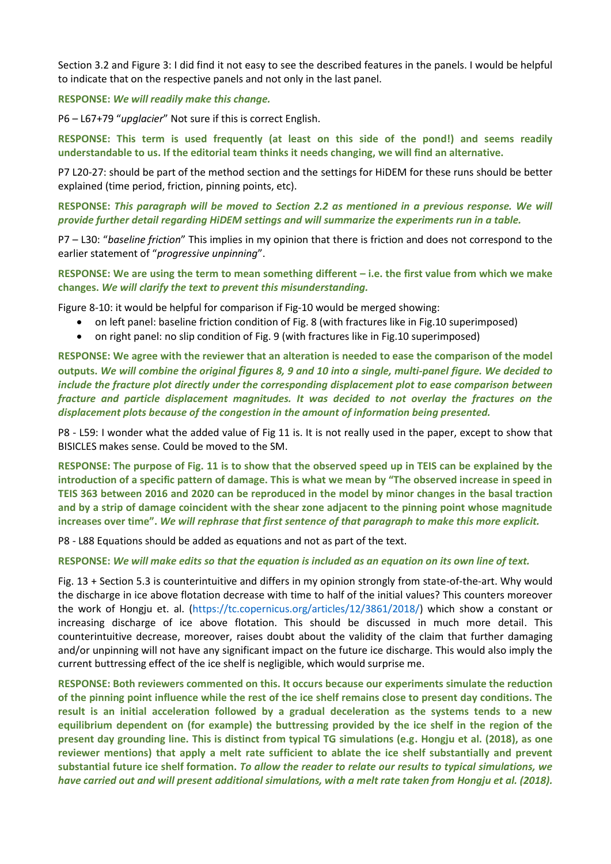Section 3.2 and Figure 3: I did find it not easy to see the described features in the panels. I would be helpful to indicate that on the respective panels and not only in the last panel.

**RESPONSE:** *We will readily make this change.*

P6 – L67+79 "*upglacier*" Not sure if this is correct English.

**RESPONSE: This term is used frequently (at least on this side of the pond!) and seems readily understandable to us. If the editorial team thinks it needs changing, we will find an alternative.**

P7 L20-27: should be part of the method section and the settings for HiDEM for these runs should be better explained (time period, friction, pinning points, etc).

**RESPONSE:** *This paragraph will be moved to Section 2.2 as mentioned in a previous response. We will provide further detail regarding HiDEM settings and will summarize the experiments run in a table.*

P7 – L30: "*baseline friction*" This implies in my opinion that there is friction and does not correspond to the earlier statement of "*progressive unpinning*".

**RESPONSE: We are using the term to mean something different – i.e. the first value from which we make changes.** *We will clarify the text to prevent this misunderstanding.*

Figure 8-10: it would be helpful for comparison if Fig-10 would be merged showing:

- on left panel: baseline friction condition of Fig. 8 (with fractures like in Fig.10 superimposed)
- on right panel: no slip condition of Fig. 9 (with fractures like in Fig.10 superimposed)

**RESPONSE: We agree with the reviewer that an alteration is needed to ease the comparison of the model outputs.** *We will combine the original figures 8, 9 and 10 into a single, multi-panel figure. We decided to include the fracture plot directly under the corresponding displacement plot to ease comparison between fracture and particle displacement magnitudes. It was decided to not overlay the fractures on the displacement plots because of the congestion in the amount of information being presented.*

P8 - L59: I wonder what the added value of Fig 11 is. It is not really used in the paper, except to show that BISICLES makes sense. Could be moved to the SM.

**RESPONSE: The purpose of Fig. 11 is to show that the observed speed up in TEIS can be explained by the introduction of a specific pattern of damage. This is what we mean by "The observed increase in speed in TEIS 363 between 2016 and 2020 can be reproduced in the model by minor changes in the basal traction and by a strip of damage coincident with the shear zone adjacent to the pinning point whose magnitude increases over time".** *We will rephrase that first sentence of that paragraph to make this more explicit.*

P8 - L88 Equations should be added as equations and not as part of the text.

**RESPONSE:** *We will make edits so that the equation is included as an equation on its own line of text.*

Fig. 13 + Section 5.3 is counterintuitive and differs in my opinion strongly from state-of-the-art. Why would the discharge in ice above flotation decrease with time to half of the initial values? This counters moreover the work of Hongju et. al. (https://tc.copernicus.org/articles/12/3861/2018/) which show a constant or increasing discharge of ice above flotation. This should be discussed in much more detail. This counterintuitive decrease, moreover, raises doubt about the validity of the claim that further damaging and/or unpinning will not have any significant impact on the future ice discharge. This would also imply the current buttressing effect of the ice shelf is negligible, which would surprise me.

**RESPONSE: Both reviewers commented on this. It occurs because our experiments simulate the reduction of the pinning point influence while the rest of the ice shelf remains close to present day conditions. The result is an initial acceleration followed by a gradual deceleration as the systems tends to a new equilibrium dependent on (for example) the buttressing provided by the ice shelf in the region of the present day grounding line. This is distinct from typical TG simulations (e.g. Hongju et al. (2018), as one reviewer mentions) that apply a melt rate sufficient to ablate the ice shelf substantially and prevent substantial future ice shelf formation.** *To allow the reader to relate our results to typical simulations, we*  have carried out and will present additional simulations, with a melt rate taken from Hongju et al. (2018).